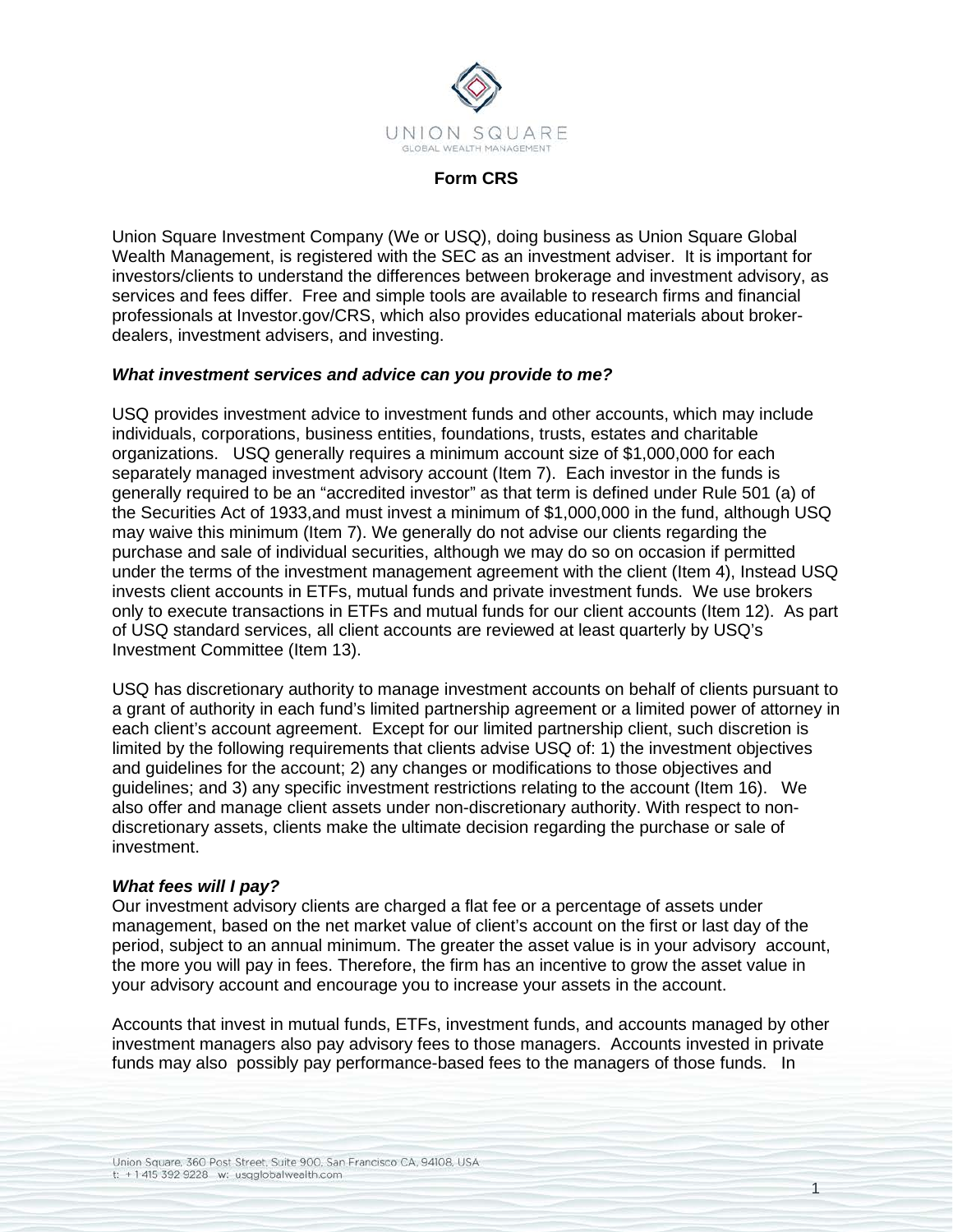

### **Form CRS**

Union Square Investment Company (We or USQ), doing business as Union Square Global Wealth Management, is registered with the SEC as an investment adviser. It is important for investors/clients to understand the differences between brokerage and investment advisory, as services and fees differ. Free and simple tools are available to research firms and financial professionals at Investor.gov/CRS, which also provides educational materials about brokerdealers, investment advisers, and investing.

## *What investment services and advice can you provide to me?*

USQ provides investment advice to investment funds and other accounts, which may include individuals, corporations, business entities, foundations, trusts, estates and charitable organizations. USQ generally requires a minimum account size of \$1,000,000 for each separately managed investment advisory account (Item 7). Each investor in the funds is generally required to be an "accredited investor" as that term is defined under Rule 501 (a) of the Securities Act of 1933,and must invest a minimum of \$1,000,000 in the fund, although USQ may waive this minimum (Item 7). We generally do not advise our clients regarding the purchase and sale of individual securities, although we may do so on occasion if permitted under the terms of the investment management agreement with the client (Item 4), Instead USQ invests client accounts in ETFs, mutual funds and private investment funds. We use brokers only to execute transactions in ETFs and mutual funds for our client accounts (Item 12). As part of USQ standard services, all client accounts are reviewed at least quarterly by USQ's Investment Committee (Item 13).

USQ has discretionary authority to manage investment accounts on behalf of clients pursuant to a grant of authority in each fund's limited partnership agreement or a limited power of attorney in each client's account agreement. Except for our limited partnership client, such discretion is limited by the following requirements that clients advise USQ of: 1) the investment objectives and guidelines for the account; 2) any changes or modifications to those objectives and guidelines; and 3) any specific investment restrictions relating to the account (Item 16). We also offer and manage client assets under non-discretionary authority. With respect to nondiscretionary assets, clients make the ultimate decision regarding the purchase or sale of investment.

## *What fees will I pay?*

Our investment advisory clients are charged a flat fee or a percentage of assets under management, based on the net market value of client's account on the first or last day of the period, subject to an annual minimum. The greater the asset value is in your advisory account, the more you will pay in fees. Therefore, the firm has an incentive to grow the asset value in your advisory account and encourage you to increase your assets in the account.

Accounts that invest in mutual funds, ETFs, investment funds, and accounts managed by other investment managers also pay advisory fees to those managers. Accounts invested in private funds may also possibly pay performance-based fees to the managers of those funds. In